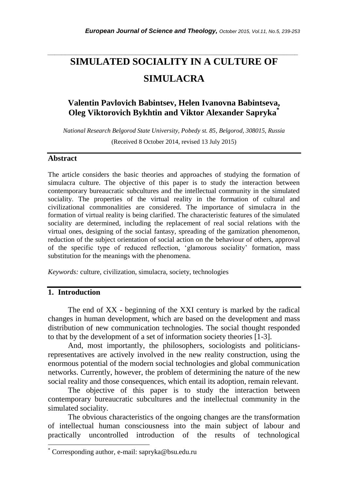# **SIMULATED SOCIALITY IN A CULTURE OF SIMULACRA**

*\_\_\_\_\_\_\_\_\_\_\_\_\_\_\_\_\_\_\_\_\_\_\_\_\_\_\_\_\_\_\_\_\_\_\_\_\_\_\_\_\_\_\_\_\_\_\_\_\_\_\_\_\_\_\_\_\_\_\_\_\_\_\_\_\_\_\_\_\_\_\_*

# **Valentin Pavlovich Babintsev, Helen Ivanovna Babintseva, Oleg Viktorovich Bykhtin and Viktor Alexander Sapryka\***

*National Research Belgorod State University, Pobedy st. 85, Belgorod, 308015, Russia* (Received 8 October 2014, revised 13 July 2015)

#### **Abstract**

The article considers the basic theories and approaches of studying the formation of simulacra culture. The objective of this paper is to study the interaction between contemporary bureaucratic subcultures and the intellectual community in the simulated sociality. The properties of the virtual reality in the formation of cultural and civilizational commonalities are considered. The importance of simulacra in the formation of virtual reality is being clarified. The characteristic features of the simulated sociality are determined, including the replacement of real social relations with the virtual ones, designing of the social fantasy, spreading of the gamization phenomenon, reduction of the subject orientation of social action on the behaviour of others, approval of the specific type of reduced reflection, "glamorous sociality" formation, mass substitution for the meanings with the phenomena.

*Keywords:* culture, civilization, simulacra, society, technologies

#### **1. Introduction**

l

The end of XX - beginning of the XXI century is marked by the radical changes in human development, which are based on the development and mass distribution of new communication technologies. The social thought responded to that by the development of a set of information society theories [1-3].

And, most importantly, the philosophers, sociologists and politiciansrepresentatives are actively involved in the new reality construction, using the enormous potential of the modern social technologies and global communication networks. Currently, however, the problem of determining the nature of the new social reality and those consequences, which entail its adoption, remain relevant.

The objective of this paper is to study the interaction between contemporary bureaucratic subcultures and the intellectual community in the simulated sociality.

The obvious characteristics of the ongoing changes are the transformation of intellectual human consciousness into the main subject of labour and practically uncontrolled introduction of the results of technological

Corresponding author, e-mail: sapryka@bsu.edu.ru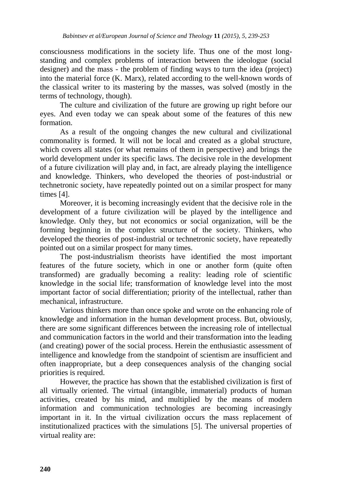consciousness modifications in the society life. Thus one of the most longstanding and complex problems of interaction between the ideologue (social designer) and the mass - the problem of finding ways to turn the idea (project) into the material force (K. Marx), related according to the well-known words of the classical writer to its mastering by the masses, was solved (mostly in the terms of technology, though).

The culture and civilization of the future are growing up right before our eyes. And even today we can speak about some of the features of this new formation.

As a result of the ongoing changes the new cultural and civilizational commonality is formed. It will not be local and created as a global structure, which covers all states (or what remains of them in perspective) and brings the world development under its specific laws. The decisive role in the development of a future civilization will play and, in fact, are already playing the intelligence and knowledge. Thinkers, who developed the theories of post-industrial or technetronic society, have repeatedly pointed out on a similar prospect for many times [4].

Moreover, it is becoming increasingly evident that the decisive role in the development of a future civilization will be played by the intelligence and knowledge. Only they, but not economics or social organization, will be the forming beginning in the complex structure of the society. Thinkers, who developed the theories of post-industrial or technetronic society, have repeatedly pointed out on a similar prospect for many times.

The post-industrialism theorists have identified the most important features of the future society, which in one or another form (quite often transformed) are gradually becoming a reality: leading role of scientific knowledge in the social life; transformation of knowledge level into the most important factor of social differentiation; priority of the intellectual, rather than mechanical, infrastructure.

Various thinkers more than once spoke and wrote on the enhancing role of knowledge and information in the human development process. But, obviously, there are some significant differences between the increasing role of intellectual and communication factors in the world and their transformation into the leading (and creating) power of the social process. Herein the enthusiastic assessment of intelligence and knowledge from the standpoint of scientism are insufficient and often inappropriate, but a deep consequences analysis of the changing social priorities is required.

However, the practice has shown that the established civilization is first of all virtually oriented. The virtual (intangible, immaterial) products of human activities, created by his mind, and multiplied by the means of modern information and communication technologies are becoming increasingly important in it. In the virtual civilization occurs the mass replacement of institutionalized practices with the simulations [5]. The universal properties of virtual reality are: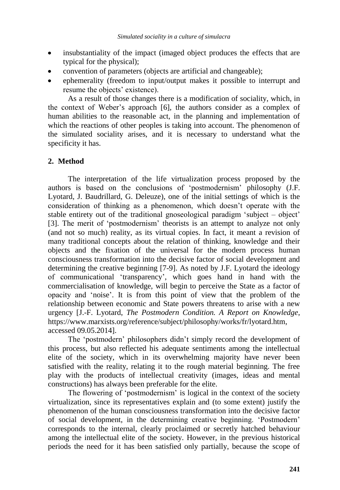- insubstantiality of the impact (imaged object produces the effects that are typical for the physical);
- convention of parameters (objects are artificial and changeable);
- ephemerality (freedom to input/output makes it possible to interrupt and resume the objects' existence).

As a result of those changes there is a modification of sociality, which, in the context of Weber"s approach [6], the authors consider as a complex of human abilities to the reasonable act, in the planning and implementation of which the reactions of other peoples is taking into account. The phenomenon of the simulated sociality arises, and it is necessary to understand what the specificity it has.

## **2. Method**

The interpretation of the life virtualization process proposed by the authors is based on the conclusions of "postmodernism" philosophy (J.F. Lyotard, J. Baudrillard, G. Deleuze), one of the initial settings of which is the consideration of thinking as a phenomenon, which doesn"t operate with the stable entirety out of the traditional gnoseological paradigm "subject – object" [3]. The merit of "postmodernism" theorists is an attempt to analyze not only (and not so much) reality, as its virtual copies. In fact, it meant a revision of many traditional concepts about the relation of thinking, knowledge and their objects and the fixation of the universal for the modern process human consciousness transformation into the decisive factor of social development and determining the creative beginning [7-9]. As noted by J.F. Lyotard the ideology of communicational "transparency", which goes hand in hand with the commercialisation of knowledge, will begin to perceive the State as a factor of opacity and "noise". It is from this point of view that the problem of the relationship between economic and State powers threatens to arise with a new urgency [J.-F. Lyotard, *The Postmodern Condition. A Report on Knowledge*, https://www.marxists.org/reference/subject/philosophy/works/fr/lyotard.htm, accessed 09.05.2014].

The "postmodern" philosophers didn"t simply record the development of this process, but also reflected his adequate sentiments among the intellectual elite of the society, which in its overwhelming majority have never been satisfied with the reality, relating it to the rough material beginning. The free play with the products of intellectual creativity (images, ideas and mental constructions) has always been preferable for the elite.

The flowering of "postmodernism" is logical in the context of the society virtualization, since its representatives explain and (to some extent) justify the phenomenon of the human consciousness transformation into the decisive factor of social development, in the determining creative beginning. "Postmodern" corresponds to the internal, clearly proclaimed or secretly hatched behaviour among the intellectual elite of the society. However, in the previous historical periods the need for it has been satisfied only partially, because the scope of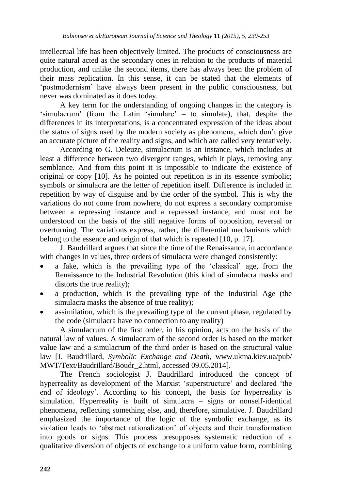intellectual life has been objectively limited. The products of consciousness are quite natural acted as the secondary ones in relation to the products of material production, and unlike the second items, there has always been the problem of their mass replication. In this sense, it can be stated that the elements of "postmodernism" have always been present in the public consciousness, but never was dominated as it does today.

A key term for the understanding of ongoing changes in the category is 'simulacrum' (from the Latin 'simulare' – to simulate), that, despite the differences in its interpretations, is a concentrated expression of the ideas about the status of signs used by the modern society as phenomena, which don"t give an accurate picture of the reality and signs, and which are called very tentatively.

According to G. Deleuze, simulacrum is an instance, which includes at least a difference between two divergent ranges, which it plays, removing any semblance. And from this point it is impossible to indicate the existence of original or copy [10]. As he pointed out repetition is in its essence symbolic; symbols or simulacra are the letter of repetition itself. Difference is included in repetition by way of disguise and by the order of the symbol. This is why the variations do not come from nowhere, do not express a secondary compromise between a repressing instance and a repressed instance, and must not be understood on the basis of the still negative forms of opposition, reversal or overturning. The variations express, rather, the differential mechanisms which belong to the essence and origin of that which is repeated [10, p. 17].

J. Baudrillard argues that since the time of the Renaissance, in accordance with changes in values, three orders of simulacra were changed consistently:

- a fake, which is the prevailing type of the "classical" age, from the Renaissance to the Industrial Revolution (this kind of simulacra masks and distorts the true reality);
- a production, which is the prevailing type of the Industrial Age (the simulacra masks the absence of true reality);
- assimilation, which is the prevailing type of the current phase, regulated by the code (simulacra have no connection to any reality)

A simulacrum of the first order, in his opinion, acts on the basis of the natural law of values. A simulacrum of the second order is based on the market value law and a simulacrum of the third order is based on the structural value law [J. Baudrillard, *Symbolic Exchange and Death*, www.ukma.kiev.ua/pub/ MWT/Text/Baudrillard/Boudr\_2.html, accessed 09.05.2014].

The French sociologist J. Baudrillard introduced the concept of hyperreality as development of the Marxist 'superstructure' and declared 'the end of ideology". According to his concept, the basis for hyperreality is simulation. Hyperreality is built of simulacra – signs or nonself-identical phenomena, reflecting something else, and, therefore, simulative. J. Baudrillard emphasized the importance of the logic of the symbolic exchange, as its violation leads to "abstract rationalization" of objects and their transformation into goods or signs. This process presupposes systematic reduction of a qualitative diversion of objects of exchange to a uniform value form, combining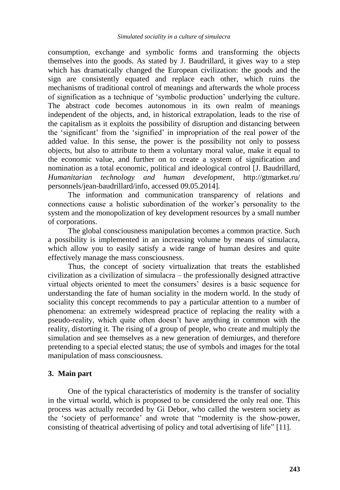consumption, exchange and symbolic forms and transforming the objects themselves into the goods. As stated by J. Baudrillard, it gives way to a step which has dramatically changed the European civilization: the goods and the sign are consistently equated and replace each other, which ruins the mechanisms of traditional control of meanings and afterwards the whole process of signification as a technique of "symbolic production" underlying the culture. The abstract code becomes autonomous in its own realm of meanings independent of the objects, and, in historical extrapolation, leads to the rise of the capitalism as it exploits the possibility of disruption and distancing between the "significant" from the "signified" in impropriation of the real power of the added value. In this sense, the power is the possibility not only to possess objects, but also to attribute to them a voluntary moral value, make it equal to the economic value, and further on to create a system of signification and nomination as a total economic, political and ideological control [J. Baudrillard, *Humanitarian technology and human development*, http://gtmarket.ru/ personnels/jean-baudrillard/info, accessed 09.05.2014].

The information and communication transparency of relations and connections cause a holistic subordination of the worker"s personality to the system and the monopolization of key development resources by a small number of corporations.

The global consciousness manipulation becomes a common practice. Such a possibility is implemented in an increasing volume by means of simulacra, which allow you to easily satisfy a wide range of human desires and quite effectively manage the mass consciousness.

Thus, the concept of society virtualization that treats the established civilization as a civilization of simulacra – the professionally designed attractive virtual objects oriented to meet the consumers" desires is a basic sequence for understanding the fate of human sociality in the modern world. In the study of sociality this concept recommends to pay a particular attention to a number of phenomena: an extremely widespread practice of replacing the reality with a pseudo-reality, which quite often doesn"t have anything in common with the reality, distorting it. The rising of a group of people, who create and multiply the simulation and see themselves as a new generation of demiurges, and therefore pretending to a special elected status; the use of symbols and images for the total manipulation of mass consciousness.

## **3. Main part**

One of the typical characteristics of modernity is the transfer of sociality in the virtual world, which is proposed to be considered the only real one. This process was actually recorded by Gi Debor, who called the western society as the "society of performance" and wrote that "modernity is the show-power, consisting of theatrical advertising of policy and total advertising of life" [11].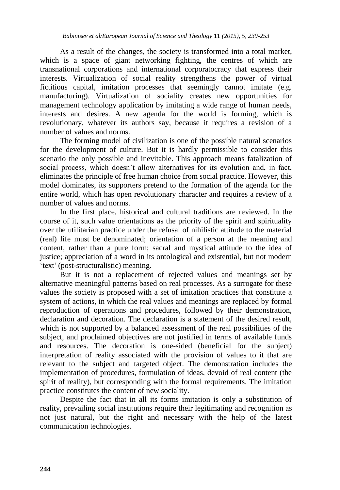As a result of the changes, the society is transformed into a total market, which is a space of giant networking fighting, the centres of which are transnational corporations and international corporatocracy that express their interests. Virtualization of social reality strengthens the power of virtual fictitious capital, imitation processes that seemingly cannot imitate (e.g. manufacturing). Virtualization of sociality creates new opportunities for management technology application by imitating a wide range of human needs, interests and desires. A new agenda for the world is forming, which is revolutionary, whatever its authors say, because it requires a revision of a number of values and norms.

The forming model of civilization is one of the possible natural scenarios for the development of culture. But it is hardly permissible to consider this scenario the only possible and inevitable. This approach means fatalization of social process, which doesn"t allow alternatives for its evolution and, in fact, eliminates the principle of free human choice from social practice. However, this model dominates, its supporters pretend to the formation of the agenda for the entire world, which has open revolutionary character and requires a review of a number of values and norms.

In the first place, historical and cultural traditions are reviewed. In the course of it, such value orientations as the priority of the spirit and spirituality over the utilitarian practice under the refusal of nihilistic attitude to the material (real) life must be denominated; orientation of a person at the meaning and content, rather than a pure form; sacral and mystical attitude to the idea of justice; appreciation of a word in its ontological and existential, but not modern "text" (post-structuralistic) meaning.

But it is not a replacement of rejected values and meanings set by alternative meaningful patterns based on real processes. As a surrogate for these values the society is proposed with a set of imitation practices that constitute a system of actions, in which the real values and meanings are replaced by formal reproduction of operations and procedures, followed by their demonstration, declaration and decoration. The declaration is a statement of the desired result, which is not supported by a balanced assessment of the real possibilities of the subject, and proclaimed objectives are not justified in terms of available funds and resources. The decoration is one-sided (beneficial for the subject) interpretation of reality associated with the provision of values to it that are relevant to the subject and targeted object. The demonstration includes the implementation of procedures, formulation of ideas, devoid of real content (the spirit of reality), but corresponding with the formal requirements. The imitation practice constitutes the content of new sociality.

Despite the fact that in all its forms imitation is only a substitution of reality, prevailing social institutions require their legitimating and recognition as not just natural, but the right and necessary with the help of the latest communication technologies.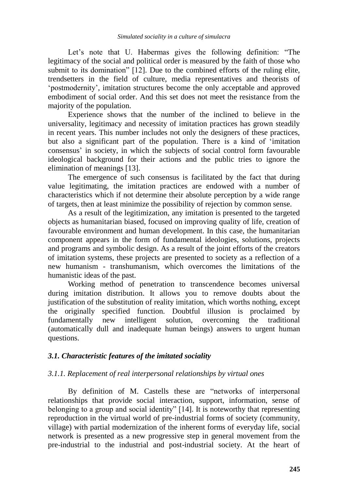Let's note that U. Habermas gives the following definition: "The legitimacy of the social and political order is measured by the faith of those who submit to its domination" [12]. Due to the combined efforts of the ruling elite, trendsetters in the field of culture, media representatives and theorists of "postmodernity", imitation structures become the only acceptable and approved embodiment of social order. And this set does not meet the resistance from the majority of the population.

Experience shows that the number of the inclined to believe in the universality, legitimacy and necessity of imitation practices has grown steadily in recent years. This number includes not only the designers of these practices, but also a significant part of the population. There is a kind of "imitation consensus' in society, in which the subjects of social control form favourable ideological background for their actions and the public tries to ignore the elimination of meanings [13].

The emergence of such consensus is facilitated by the fact that during value legitimating, the imitation practices are endowed with a number of characteristics which if not determine their absolute perception by a wide range of targets, then at least minimize the possibility of rejection by common sense.

As a result of the legitimization, any imitation is presented to the targeted objects as humanitarian biased, focused on improving quality of life, creation of favourable environment and human development. In this case, the humanitarian component appears in the form of fundamental ideologies, solutions, projects and programs and symbolic design. As a result of the joint efforts of the creators of imitation systems, these projects are presented to society as a reflection of a new humanism - transhumanism, which overcomes the limitations of the humanistic ideas of the past.

Working method of penetration to transcendence becomes universal during imitation distribution. It allows you to remove doubts about the justification of the substitution of reality imitation, which worths nothing, except the originally specified function. Doubtful illusion is proclaimed by fundamentally new intelligent solution, overcoming the traditional (automatically dull and inadequate human beings) answers to urgent human questions.

## *3.1. Characteristic features of the imitated sociality*

## *3.1.1. Replacement of real interpersonal relationships by virtual ones*

By definition of M. Castells these are "networks of interpersonal relationships that provide social interaction, support, information, sense of belonging to a group and social identity" [14]. It is noteworthy that representing reproduction in the virtual world of pre-industrial forms of society (community, village) with partial modernization of the inherent forms of everyday life, social network is presented as a new progressive step in general movement from the pre-industrial to the industrial and post-industrial society. At the heart of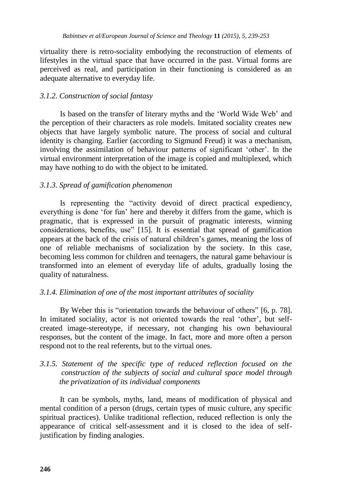virtuality there is retro-sociality embodying the reconstruction of elements of lifestyles in the virtual space that have occurred in the past. Virtual forms are perceived as real, and participation in their functioning is considered as an adequate alternative to everyday life.

## *3.1.2. Construction of social fantasy*

Is based on the transfer of literary myths and the "World Wide Web" and the perception of their characters as role models. Imitated sociality creates new objects that have largely symbolic nature. The process of social and cultural identity is changing. Earlier (according to Sigmund Freud) it was a mechanism, involving the assimilation of behaviour patterns of significant "other". In the virtual environment interpretation of the image is copied and multiplexed, which may have nothing to do with the object to be imitated.

## *3.1.3. Spread of gamification phenomenon*

Is representing the "activity devoid of direct practical expediency, everything is done "for fun" here and thereby it differs from the game, which is pragmatic, that is expressed in the pursuit of pragmatic interests, winning considerations, benefits, use" [15]. It is essential that spread of gamification appears at the back of the crisis of natural children"s games, meaning the loss of one of reliable mechanisms of socialization by the society. In this case, becoming less common for children and teenagers, the natural game behaviour is transformed into an element of everyday life of adults, gradually losing the quality of naturalness.

## *3.1.4. Elimination of one of the most important attributes of sociality*

By Weber this is "orientation towards the behaviour of others" [6, p. 78]. In imitated sociality, actor is not oriented towards the real 'other', but selfcreated image-stereotype, if necessary, not changing his own behavioural responses, but the content of the image. In fact, more and more often a person respond not to the real referents, but to the virtual ones.

## *3.1.5. Statement of the specific type of reduced reflection focused on the construction of the subjects of social and cultural space model through the privatization of its individual components*

It can be symbols, myths, land, means of modification of physical and mental condition of a person (drugs, certain types of music culture, any specific spiritual practices). Unlike traditional reflection, reduced reflection is only the appearance of critical self-assessment and it is closed to the idea of selfjustification by finding analogies.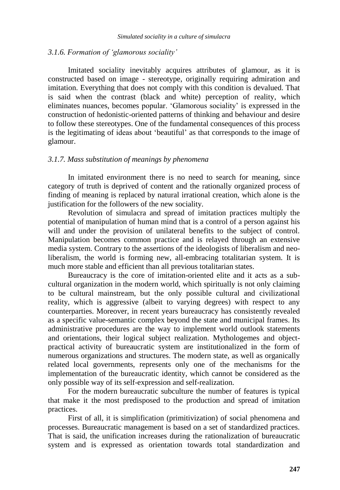#### *3.1.6. Formation of 'glamorous sociality'*

Imitated sociality inevitably acquires attributes of glamour, as it is constructed based on image - stereotype, originally requiring admiration and imitation. Everything that does not comply with this condition is devalued. That is said when the contrast (black and white) perception of reality, which eliminates nuances, becomes popular. "Glamorous sociality" is expressed in the construction of hedonistic-oriented patterns of thinking and behaviour and desire to follow these stereotypes. One of the fundamental consequences of this process is the legitimating of ideas about "beautiful" as that corresponds to the image of glamour.

#### *3.1.7. Mass substitution of meanings by phenomena*

In imitated environment there is no need to search for meaning, since category of truth is deprived of content and the rationally organized process of finding of meaning is replaced by natural irrational creation, which alone is the justification for the followers of the new sociality.

Revolution of simulacra and spread of imitation practices multiply the potential of manipulation of human mind that is a control of a person against his will and under the provision of unilateral benefits to the subject of control. Manipulation becomes common practice and is relayed through an extensive media system. Contrary to the assertions of the ideologists of liberalism and neoliberalism, the world is forming new, all-embracing totalitarian system. It is much more stable and efficient than all previous totalitarian states.

Bureaucracy is the core of imitation-oriented elite and it acts as a subcultural organization in the modern world, which spiritually is not only claiming to be cultural mainstream, but the only possible cultural and civilizational reality, which is aggressive (albeit to varying degrees) with respect to any counterparties. Moreover, in recent years bureaucracy has consistently revealed as a specific value-semantic complex beyond the state and municipal frames. Its administrative procedures are the way to implement world outlook statements and orientations, their logical subject realization. Mythologemes and objectpractical activity of bureaucratic system are institutionalized in the form of numerous organizations and structures. The modern state, as well as organically related local governments, represents only one of the mechanisms for the implementation of the bureaucratic identity, which cannot be considered as the only possible way of its self-expression and self-realization.

For the modern bureaucratic subculture the number of features is typical that make it the most predisposed to the production and spread of imitation practices.

First of all, it is simplification (primitivization) of social phenomena and processes. Bureaucratic management is based on a set of standardized practices. That is said, the unification increases during the rationalization of bureaucratic system and is expressed as orientation towards total standardization and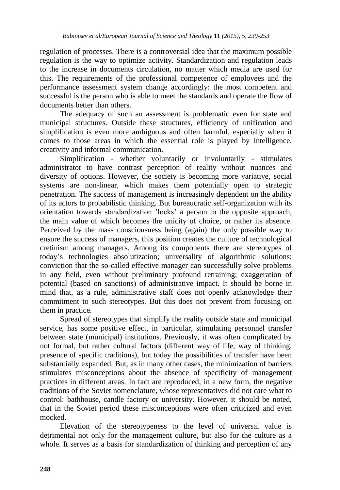regulation of processes. There is a controversial idea that the maximum possible regulation is the way to optimize activity. Standardization and regulation leads to the increase in documents circulation, no matter which media are used for this. The requirements of the professional competence of employees and the performance assessment system change accordingly: the most competent and successful is the person who is able to meet the standards and operate the flow of documents better than others.

The adequacy of such an assessment is problematic even for state and municipal structures. Outside these structures, efficiency of unification and simplification is even more ambiguous and often harmful, especially when it comes to those areas in which the essential role is played by intelligence, creativity and informal communication.

Simplification - whether voluntarily or involuntarily - stimulates administrator to have contrast perception of reality without nuances and diversity of options. However, the society is becoming more variative, social systems are non-linear, which makes them potentially open to strategic penetration. The success of management is increasingly dependent on the ability of its actors to probabilistic thinking. But bureaucratic self-organization with its orientation towards standardization "locks" a person to the opposite approach, the main value of which becomes the unicity of choice, or rather its absence. Perceived by the mass consciousness being (again) the only possible way to ensure the success of managers, this position creates the culture of technological cretinism among managers. Among its components there are stereotypes of today"s technologies absolutization; universality of algorithmic solutions; conviction that the so-called effective manager can successfully solve problems in any field, even without preliminary profound retraining; exaggeration of potential (based on sanctions) of administrative impact. It should be borne in mind that, as a rule, administrative staff does not openly acknowledge their commitment to such stereotypes. But this does not prevent from focusing on them in practice.

Spread of stereotypes that simplify the reality outside state and municipal service, has some positive effect, in particular, stimulating personnel transfer between state (municipal) institutions. Previously, it was often complicated by not formal, but rather cultural factors (different way of life, way of thinking, presence of specific traditions), but today the possibilities of transfer have been substantially expanded. But, as in many other cases, the minimization of barriers stimulates misconceptions about the absence of specificity of management practices in different areas. In fact are reproduced, in a new form, the negative traditions of the Soviet nomenclature, whose representatives did not care what to control: bathhouse, candle factory or university. However, it should be noted, that in the Soviet period these misconceptions were often criticized and even mocked.

Elevation of the stereotypeness to the level of universal value is detrimental not only for the management culture, but also for the culture as a whole. It serves as a basis for standardization of thinking and perception of any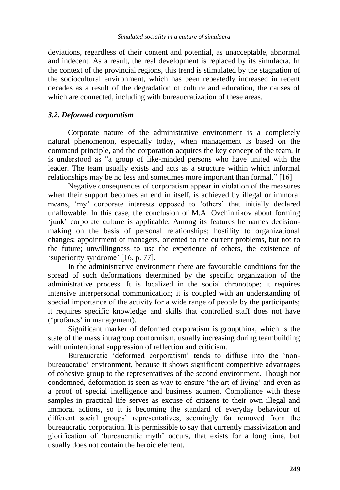deviations, regardless of their content and potential, as unacceptable, abnormal and indecent. As a result, the real development is replaced by its simulacra. In the context of the provincial regions, this trend is stimulated by the stagnation of the sociocultural environment, which has been repeatedly increased in recent decades as a result of the degradation of culture and education, the causes of which are connected, including with bureaucratization of these areas.

#### *3.2. Deformed corporatism*

Corporate nature of the administrative environment is a completely natural phenomenon, especially today, when management is based on the command principle, and the corporation acquires the key concept of the team. It is understood as "a group of like-minded persons who have united with the leader. The team usually exists and acts as a structure within which informal relationships may be no less and sometimes more important than formal." [16]

Negative consequences of corporatism appear in violation of the measures when their support becomes an end in itself, is achieved by illegal or immoral means, "my" corporate interests opposed to "others" that initially declared unallowable. In this case, the conclusion of M.A. Ovchinnikov about forming "junk" corporate culture is applicable. Among its features he names decisionmaking on the basis of personal relationships; hostility to organizational changes; appointment of managers, oriented to the current problems, but not to the future; unwillingness to use the experience of others, the existence of 'superiority syndrome' [16, p. 77].

In the administrative environment there are favourable conditions for the spread of such deformations determined by the specific organization of the administrative process. It is localized in the social chronotope; it requires intensive interpersonal communication; it is coupled with an understanding of special importance of the activity for a wide range of people by the participants; it requires specific knowledge and skills that controlled staff does not have ('profanes' in management).

Significant marker of deformed corporatism is groupthink, which is the state of the mass intragroup conformism, usually increasing during teambuilding with unintentional suppression of reflection and criticism.

Bureaucratic "deformed corporatism" tends to diffuse into the "nonbureaucratic" environment, because it shows significant competitive advantages of cohesive group to the representatives of the second environment. Though not condemned, deformation is seen as way to ensure 'the art of living' and even as a proof of special intelligence and business acumen. Compliance with these samples in practical life serves as excuse of citizens to their own illegal and immoral actions, so it is becoming the standard of everyday behaviour of different social groups' representatives, seemingly far removed from the bureaucratic corporation. It is permissible to say that currently massivization and glorification of "bureaucratic myth" occurs, that exists for a long time, but usually does not contain the heroic element.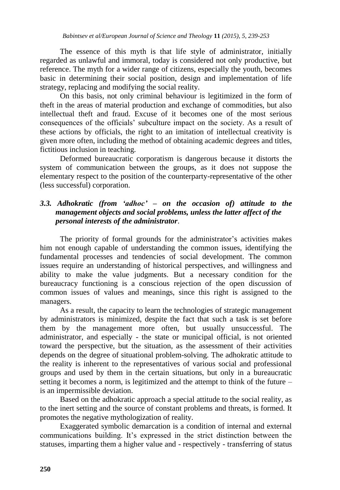The essence of this myth is that life style of administrator, initially regarded as unlawful and immoral, today is considered not only productive, but reference. The myth for a wider range of citizens, especially the youth, becomes basic in determining their social position, design and implementation of life strategy, replacing and modifying the social reality.

On this basis, not only criminal behaviour is legitimized in the form of theft in the areas of material production and exchange of commodities, but also intellectual theft and fraud. Excuse of it becomes one of the most serious consequences of the officials" subculture impact on the society. As a result of these actions by officials, the right to an imitation of intellectual creativity is given more often, including the method of obtaining academic degrees and titles, fictitious inclusion in teaching.

Deformed bureaucratic corporatism is dangerous because it distorts the system of communication between the groups, as it does not suppose the elementary respect to the position of the counterparty-representative of the other (less successful) corporation.

## *3.3. Adhokratic (from 'adhoc' – on the occasion of) attitude to the management objects and social problems, unless the latter affect of the personal interests of the administrator*.

The priority of formal grounds for the administrator's activities makes him not enough capable of understanding the common issues, identifying the fundamental processes and tendencies of social development. The common issues require an understanding of historical perspectives, and willingness and ability to make the value judgments. But a necessary condition for the bureaucracy functioning is a conscious rejection of the open discussion of common issues of values and meanings, since this right is assigned to the managers.

As a result, the capacity to learn the technologies of strategic management by administrators is minimized, despite the fact that such a task is set before them by the management more often, but usually unsuccessful. The administrator, and especially - the state or municipal official, is not oriented toward the perspective, but the situation, as the assessment of their activities depends on the degree of situational problem-solving. The adhokratic attitude to the reality is inherent to the representatives of various social and professional groups and used by them in the certain situations, but only in a bureaucratic setting it becomes a norm, is legitimized and the attempt to think of the future – is an impermissible deviation.

Based on the adhokratic approach a special attitude to the social reality, as to the inert setting and the source of constant problems and threats, is formed. It promotes the negative mythologization of reality.

Exaggerated symbolic demarcation is a condition of internal and external communications building. It"s expressed in the strict distinction between the statuses, imparting them a higher value and - respectively - transferring of status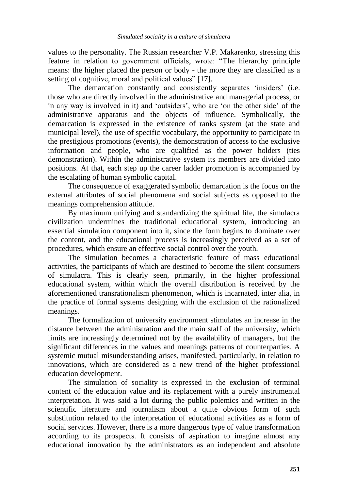values to the personality. The Russian researcher V.P. Makarenko, stressing this feature in relation to government officials, wrote: "The hierarchy principle means: the higher placed the person or body - the more they are classified as a setting of cognitive, moral and political values" [17].

The demarcation constantly and consistently separates 'insiders' (i.e. those who are directly involved in the administrative and managerial process, or in any way is involved in it) and 'outsiders', who are 'on the other side' of the administrative apparatus and the objects of influence. Symbolically, the demarcation is expressed in the existence of ranks system (at the state and municipal level), the use of specific vocabulary, the opportunity to participate in the prestigious promotions (events), the demonstration of access to the exclusive information and people, who are qualified as the power holders (ties demonstration). Within the administrative system its members are divided into positions. At that, each step up the career ladder promotion is accompanied by the escalating of human symbolic capital.

The consequence of exaggerated symbolic demarcation is the focus on the external attributes of social phenomena and social subjects as opposed to the meanings comprehension attitude.

By maximum unifying and standardizing the spiritual life, the simulacra civilization undermines the traditional educational system, introducing an essential simulation component into it, since the form begins to dominate over the content, and the educational process is increasingly perceived as a set of procedures, which ensure an effective social control over the youth.

The simulation becomes a characteristic feature of mass educational activities, the participants of which are destined to become the silent consumers of simulacra. This is clearly seen, primarily, in the higher professional educational system, within which the overall distribution is received by the aforementioned transrationalism phenomenon, which is incarnated, inter alia, in the practice of formal systems designing with the exclusion of the rationalized meanings.

The formalization of university environment stimulates an increase in the distance between the administration and the main staff of the university, which limits are increasingly determined not by the availability of managers, but the significant differences in the values and meanings patterns of counterparties. A systemic mutual misunderstanding arises, manifested, particularly, in relation to innovations, which are considered as a new trend of the higher professional education development.

The simulation of sociality is expressed in the exclusion of terminal content of the education value and its replacement with a purely instrumental interpretation. It was said a lot during the public polemics and written in the scientific literature and journalism about a quite obvious form of such substitution related to the interpretation of educational activities as a form of social services. However, there is a more dangerous type of value transformation according to its prospects. It consists of aspiration to imagine almost any educational innovation by the administrators as an independent and absolute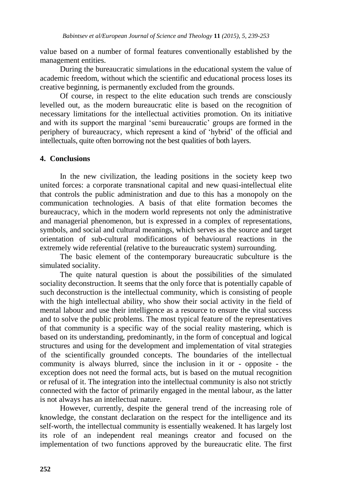value based on a number of formal features conventionally established by the management entities.

During the bureaucratic simulations in the educational system the value of academic freedom, without which the scientific and educational process loses its creative beginning, is permanently excluded from the grounds.

Of course, in respect to the elite education such trends are consciously levelled out, as the modern bureaucratic elite is based on the recognition of necessary limitations for the intellectual activities promotion. On its initiative and with its support the marginal "semi bureaucratic" groups are formed in the periphery of bureaucracy, which represent a kind of "hybrid" of the official and intellectuals, quite often borrowing not the best qualities of both layers.

#### **4. Conclusions**

In the new civilization, the leading positions in the society keep two united forces: a corporate transnational capital and new quasi-intellectual elite that controls the public administration and due to this has a monopoly on the communication technologies. A basis of that elite formation becomes the bureaucracy, which in the modern world represents not only the administrative and managerial phenomenon, but is expressed in a complex of representations, symbols, and social and cultural meanings, which serves as the source and target orientation of sub-cultural modifications of behavioural reactions in the extremely wide referential (relative to the bureaucratic system) surrounding.

The basic element of the contemporary bureaucratic subculture is the simulated sociality.

The quite natural question is about the possibilities of the simulated sociality deconstruction. It seems that the only force that is potentially capable of such deconstruction is the intellectual community, which is consisting of people with the high intellectual ability, who show their social activity in the field of mental labour and use their intelligence as a resource to ensure the vital success and to solve the public problems. The most typical feature of the representatives of that community is a specific way of the social reality mastering, which is based on its understanding, predominantly, in the form of conceptual and logical structures and using for the development and implementation of vital strategies of the scientifically grounded concepts. The boundaries of the intellectual community is always blurred, since the inclusion in it or - opposite - the exception does not need the formal acts, but is based on the mutual recognition or refusal of it. The integration into the intellectual community is also not strictly connected with the factor of primarily engaged in the mental labour, as the latter is not always has an intellectual nature.

However, currently, despite the general trend of the increasing role of knowledge, the constant declaration on the respect for the intelligence and its self-worth, the intellectual community is essentially weakened. It has largely lost its role of an independent real meanings creator and focused on the implementation of two functions approved by the bureaucratic elite. The first